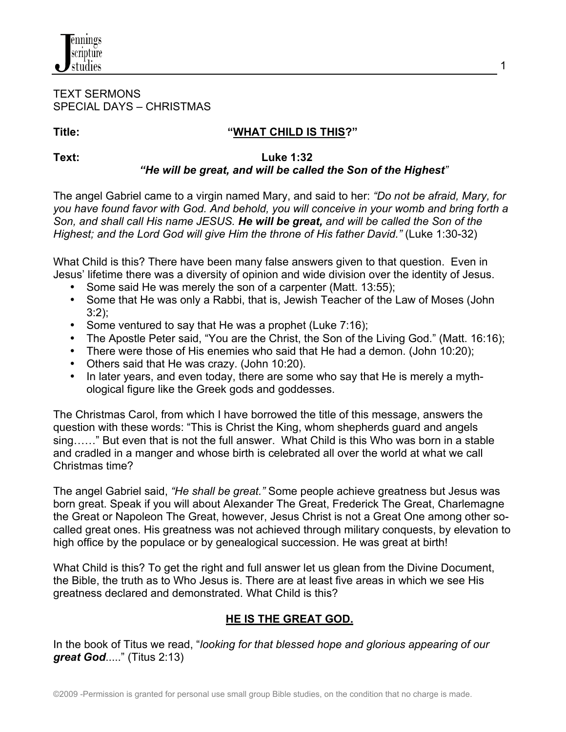#### TEXT SERMONS SPECIAL DAYS – CHRISTMAS

nnings cripture studies

#### **Title: "WHAT CHILD IS THIS?"**

#### **Text: Luke 1:32**  *"He will be great, and will be called the Son of the Highest"*

The angel Gabriel came to a virgin named Mary, and said to her: *"Do not be afraid, Mary, for you have found favor with God. And behold, you will conceive in your womb and bring forth a Son, and shall call His name JESUS. He will be great, and will be called the Son of the Highest; and the Lord God will give Him the throne of His father David."* (Luke 1:30-32)

What Child is this? There have been many false answers given to that question. Even in Jesus' lifetime there was a diversity of opinion and wide division over the identity of Jesus.

- Some said He was merely the son of a carpenter (Matt. 13:55);
- Some that He was only a Rabbi, that is, Jewish Teacher of the Law of Moses (John 3:2);
- Some ventured to say that He was a prophet (Luke 7:16);
- The Apostle Peter said, "You are the Christ, the Son of the Living God." (Matt. 16:16);
- There were those of His enemies who said that He had a demon. (John 10:20);
- Others said that He was crazy. (John 10:20).
- In later years, and even today, there are some who say that He is merely a mythological figure like the Greek gods and goddesses.

The Christmas Carol, from which I have borrowed the title of this message, answers the question with these words: "This is Christ the King, whom shepherds guard and angels sing……" But even that is not the full answer. What Child is this Who was born in a stable and cradled in a manger and whose birth is celebrated all over the world at what we call Christmas time?

The angel Gabriel said, *"He shall be great."* Some people achieve greatness but Jesus was born great. Speak if you will about Alexander The Great, Frederick The Great, Charlemagne the Great or Napoleon The Great, however, Jesus Christ is not a Great One among other socalled great ones. His greatness was not achieved through military conquests, by elevation to high office by the populace or by genealogical succession. He was great at birth!

What Child is this? To get the right and full answer let us glean from the Divine Document, the Bible, the truth as to Who Jesus is. There are at least five areas in which we see His greatness declared and demonstrated. What Child is this?

## **HE IS THE GREAT GOD.**

In the book of Titus we read, "*looking for that blessed hope and glorious appearing of our great God*....." (Titus 2:13)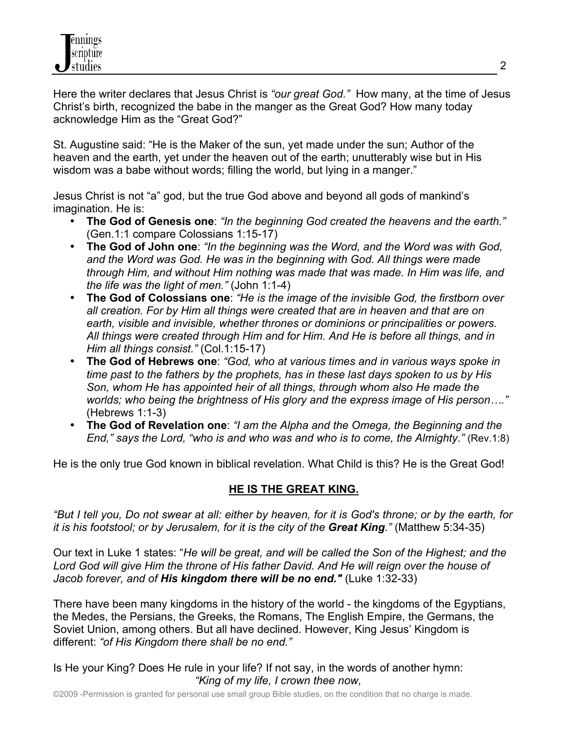Here the writer declares that Jesus Christ is *"our great God."* How many, at the time of Jesus Christ's birth, recognized the babe in the manger as the Great God? How many today acknowledge Him as the "Great God?"

St. Augustine said: "He is the Maker of the sun, yet made under the sun; Author of the heaven and the earth, yet under the heaven out of the earth; unutterably wise but in His wisdom was a babe without words; filling the world, but lying in a manger."

Jesus Christ is not "a" god, but the true God above and beyond all gods of mankind's imagination. He is:

- **The God of Genesis one**: *"In the beginning God created the heavens and the earth."* (Gen.1:1 compare Colossians 1:15-17)
- **The God of John one**: *"In the beginning was the Word, and the Word was with God, and the Word was God. He was in the beginning with God. All things were made through Him, and without Him nothing was made that was made. In Him was life, and the life was the light of men."* (John 1:1-4)
- **The God of Colossians one**: *"He is the image of the invisible God, the firstborn over all creation. For by Him all things were created that are in heaven and that are on earth, visible and invisible, whether thrones or dominions or principalities or powers. All things were created through Him and for Him. And He is before all things, and in Him all things consist."* (Col.1:15-17)
- **The God of Hebrews one**: *"God, who at various times and in various ways spoke in time past to the fathers by the prophets, has in these last days spoken to us by His Son, whom He has appointed heir of all things, through whom also He made the worlds; who being the brightness of His glory and the express image of His person…."* (Hebrews 1:1-3)
- **The God of Revelation one**: *"I am the Alpha and the Omega, the Beginning and the End," says the Lord, "who is and who was and who is to come, the Almighty."* (Rev.1:8)

He is the only true God known in biblical revelation. What Child is this? He is the Great God!

## **HE IS THE GREAT KING.**

*"But I tell you, Do not swear at all: either by heaven, for it is God's throne; or by the earth, for it is his footstool; or by Jerusalem, for it is the city of the Great King."* (Matthew 5:34-35)

Our text in Luke 1 states: "*He will be great, and will be called the Son of the Highest; and the Lord God will give Him the throne of His father David. And He will reign over the house of Jacob forever, and of His kingdom there will be no end."* (Luke 1:32-33)

There have been many kingdoms in the history of the world - the kingdoms of the Egyptians, the Medes, the Persians, the Greeks, the Romans, The English Empire, the Germans, the Soviet Union, among others. But all have declined. However, King Jesus' Kingdom is different: *"of His Kingdom there shall be no end."*

Is He your King? Does He rule in your life? If not say, in the words of another hymn:  *"King of my life, I crown thee now,*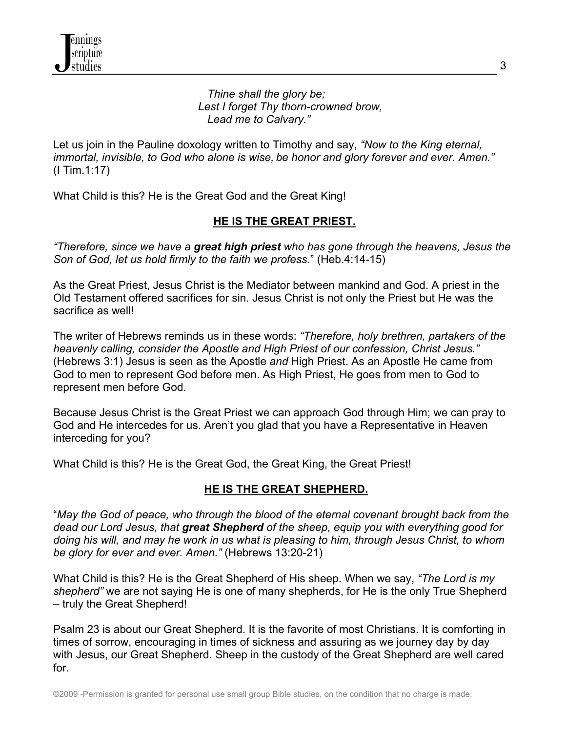*Thine shall the glory be; Lest I forget Thy thorn-crowned brow, Lead me to Calvary."*

Let us join in the Pauline doxology written to Timothy and say, *"Now to the King eternal, immortal, invisible, to God who alone is wise, be honor and glory forever and ever. Amen."* (I Tim.1:17)

What Child is this? He is the Great God and the Great King!

# **HE IS THE GREAT PRIEST.**

*"Therefore, since we have a great high priest who has gone through the heavens, Jesus the Son of God, let us hold firmly to the faith we profess.*" (Heb.4:14-15)

As the Great Priest, Jesus Christ is the Mediator between mankind and God. A priest in the Old Testament offered sacrifices for sin. Jesus Christ is not only the Priest but He was the sacrifice as well!

The writer of Hebrews reminds us in these words: *"Therefore, holy brethren, partakers of the heavenly calling, consider the Apostle and High Priest of our confession, Christ Jesus."* (Hebrews 3:1) Jesus is seen as the Apostle *and* High Priest. As an Apostle He came from God to men to represent God before men. As High Priest, He goes from men to God to represent men before God.

Because Jesus Christ is the Great Priest we can approach God through Him; we can pray to God and He intercedes for us. Aren't you glad that you have a Representative in Heaven interceding for you?

What Child is this? He is the Great God, the Great King, the Great Priest!

## **HE IS THE GREAT SHEPHERD.**

"*May the God of peace, who through the blood of the eternal covenant brought back from the dead our Lord Jesus, that great Shepherd of the sheep, equip you with everything good for doing his will, and may he work in us what is pleasing to him, through Jesus Christ, to whom be glory for ever and ever. Amen."* (Hebrews 13:20-21)

What Child is this? He is the Great Shepherd of His sheep. When we say, *"The Lord is my shepherd"* we are not saying He is one of many shepherds, for He is the only True Shepherd – truly the Great Shepherd!

Psalm 23 is about our Great Shepherd. It is the favorite of most Christians. It is comforting in times of sorrow, encouraging in times of sickness and assuring as we journey day by day with Jesus, our Great Shepherd. Sheep in the custody of the Great Shepherd are well cared for.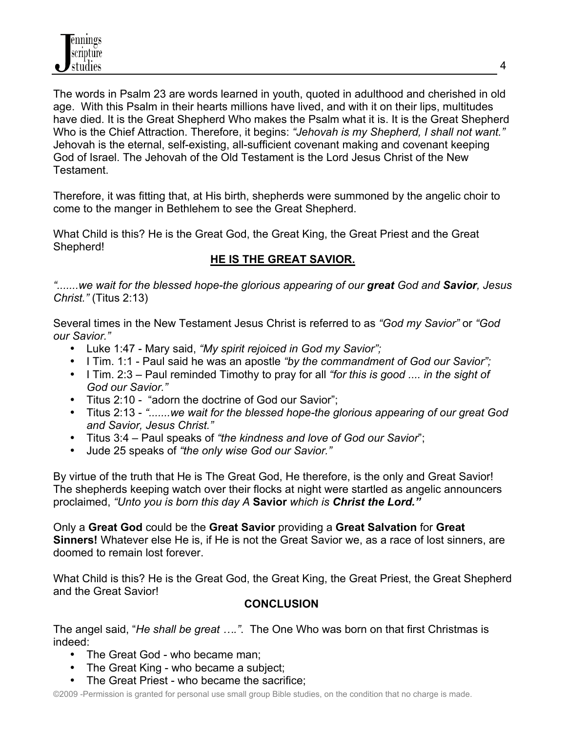The words in Psalm 23 are words learned in youth, quoted in adulthood and cherished in old age. With this Psalm in their hearts millions have lived, and with it on their lips, multitudes have died. It is the Great Shepherd Who makes the Psalm what it is. It is the Great Shepherd Who is the Chief Attraction. Therefore, it begins: *"Jehovah is my Shepherd, I shall not want."*  Jehovah is the eternal, self-existing, all-sufficient covenant making and covenant keeping God of Israel. The Jehovah of the Old Testament is the Lord Jesus Christ of the New **Testament** 

Therefore, it was fitting that, at His birth, shepherds were summoned by the angelic choir to come to the manger in Bethlehem to see the Great Shepherd.

What Child is this? He is the Great God, the Great King, the Great Priest and the Great Shepherd!

# **HE IS THE GREAT SAVIOR.**

*".......we wait for the blessed hope-the glorious appearing of our great God and Savior, Jesus Christ."* (Titus 2:13)

Several times in the New Testament Jesus Christ is referred to as *"God my Savior"* or *"God our Savior."* 

- Luke 1:47 Mary said, *"My spirit rejoiced in God my Savior";*
- I Tim. 1:1 Paul said he was an apostle *"by the commandment of God our Savior";*
- I Tim. 2:3 Paul reminded Timothy to pray for all *"for this is good .... in the sight of God our Savior."*
- Titus 2:10 "adorn the doctrine of God our Savior";
- Titus 2:13 *".......we wait for the blessed hope-the glorious appearing of our great God and Savior, Jesus Christ."*
- Titus 3:4 Paul speaks of *"the kindness and love of God our Savior*";
- Jude 25 speaks of *"the only wise God our Savior."*

By virtue of the truth that He is The Great God, He therefore, is the only and Great Savior! The shepherds keeping watch over their flocks at night were startled as angelic announcers proclaimed, *"Unto you is born this day A* **Savior** *which is Christ the Lord."*

Only a **Great God** could be the **Great Savior** providing a **Great Salvation** for **Great Sinners!** Whatever else He is, if He is not the Great Savior we, as a race of lost sinners, are doomed to remain lost forever.

What Child is this? He is the Great God, the Great King, the Great Priest, the Great Shepherd and the Great Savior!

## **CONCLUSION**

The angel said, "*He shall be great …."*. The One Who was born on that first Christmas is indeed:

- The Great God who became man;
- The Great King who became a subject;
- The Great Priest who became the sacrifice;

©2009 -Permission is granted for personal use small group Bible studies, on the condition that no charge is made.